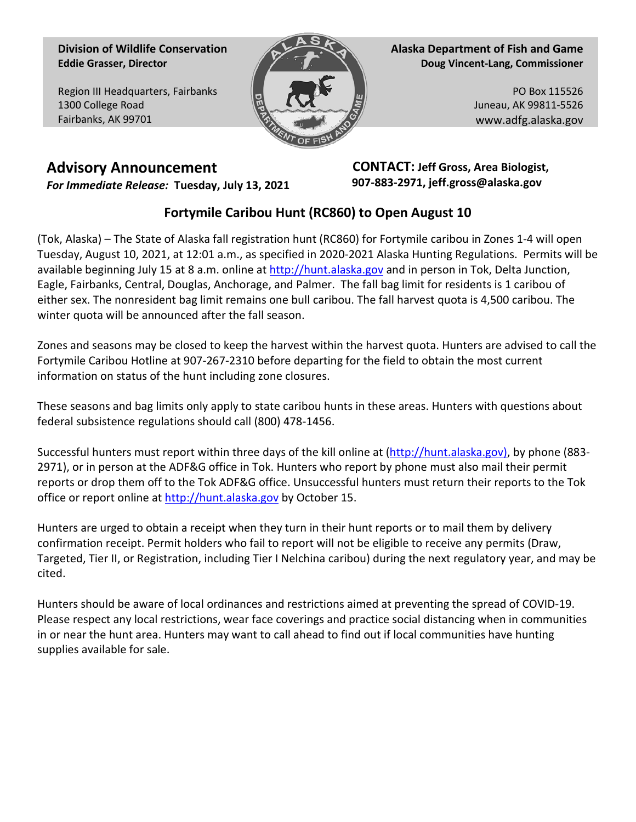**Division of Wildlife Conservation Eddie Grasser, Director**

Region III Headquarters, Fairbanks 1300 College Road Fairbanks, AK 99701



**Alaska Department of Fish and Game Doug Vincent-Lang, Commissioner**

> PO Box 115526 Juneau, AK 99811-5526 www.adfg.alaska.gov

## **Advisory Announcement** *For Immediate Release:* **Tuesday, July 13, 2021**

 **CONTACT: Jeff Gross, Area Biologist, 907-883-2971, jeff.gross@alaska.gov**

## **Fortymile Caribou Hunt (RC860) to Open August 10**

(Tok, Alaska) – The State of Alaska fall registration hunt (RC860) for Fortymile caribou in Zones 1-4 will open Tuesday, August 10, 2021, at 12:01 a.m., as specified in 2020-2021 Alaska Hunting Regulations. Permits will be available beginning July 15 at 8 a.m. online at [http://hunt.alaska.gov](http://hunt.alaska.gov/) and in person in Tok, Delta Junction, Eagle, Fairbanks, Central, Douglas, Anchorage, and Palmer. The fall bag limit for residents is 1 caribou of either sex. The nonresident bag limit remains one bull caribou. The fall harvest quota is 4,500 caribou. The winter quota will be announced after the fall season.

Zones and seasons may be closed to keep the harvest within the harvest quota. Hunters are advised to call the Fortymile Caribou Hotline at 907-267-2310 before departing for the field to obtain the most current information on status of the hunt including zone closures.

These seasons and bag limits only apply to state caribou hunts in these areas. Hunters with questions about federal subsistence regulations should call (800) 478-1456.

Successful hunters must report within three days of the kill online at [\(http://hunt.alaska.gov\)](http://hunt.alaska.gov/), by phone (883- 2971), or in person at the ADF&G office in Tok. Hunters who report by phone must also mail their permit reports or drop them off to the Tok ADF&G office. Unsuccessful hunters must return their reports to the Tok office or report online a[t http://hunt.alaska.gov](http://hunt.alaska.gov/) by October 15.

Hunters are urged to obtain a receipt when they turn in their hunt reports or to mail them by delivery confirmation receipt. Permit holders who fail to report will not be eligible to receive any permits (Draw, Targeted, Tier II, or Registration, including Tier I Nelchina caribou) during the next regulatory year, and may be cited.

Hunters should be aware of local ordinances and restrictions aimed at preventing the spread of COVID-19. Please respect any local restrictions, wear face coverings and practice social distancing when in communities in or near the hunt area. Hunters may want to call ahead to find out if local communities have hunting supplies available for sale.